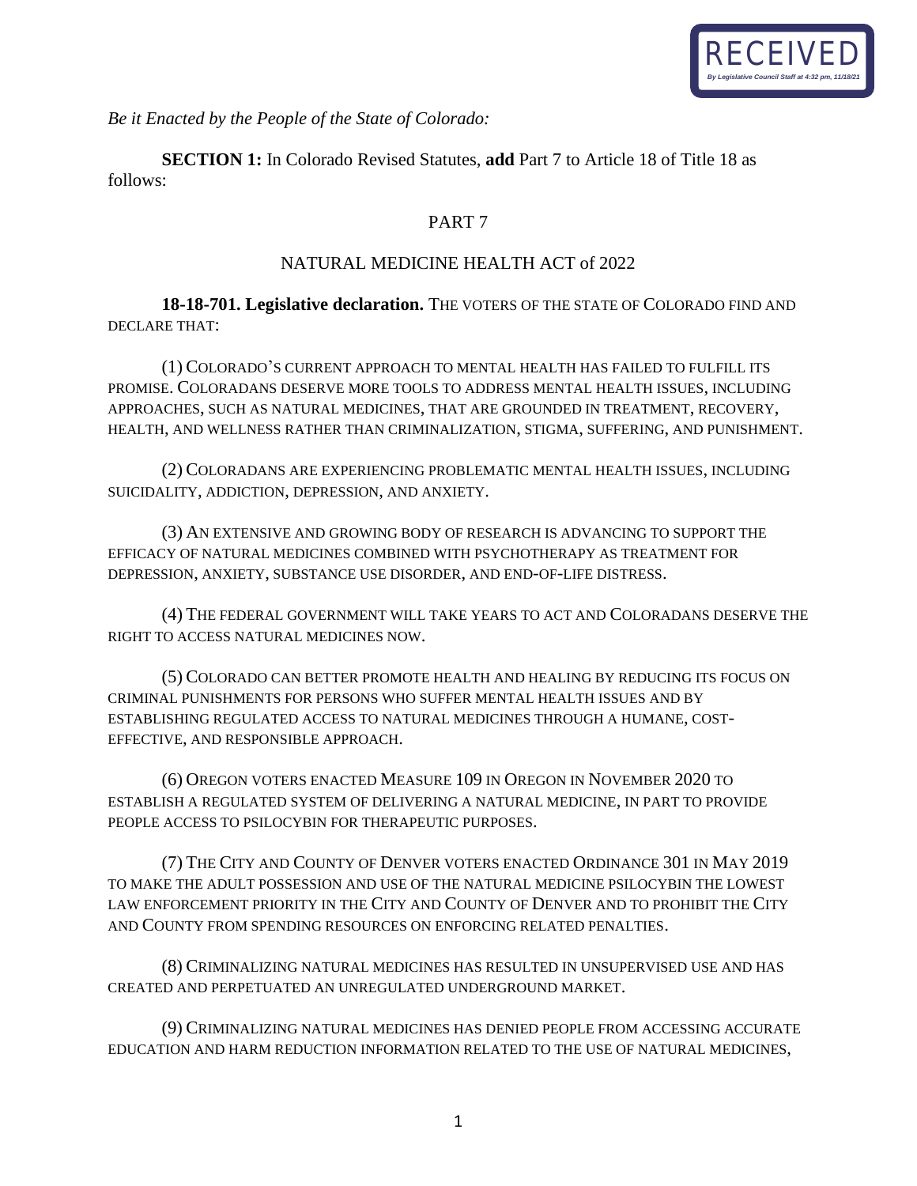

*Be it Enacted by the People of the State of Colorado:*

**SECTION 1:** In Colorado Revised Statutes, **add** Part 7 to Article 18 of Title 18 as follows:

# PART 7

## NATURAL MEDICINE HEALTH ACT of 2022

**18-18-701. Legislative declaration.** THE VOTERS OF THE STATE OF COLORADO FIND AND DECLARE THAT:

(1) COLORADO'S CURRENT APPROACH TO MENTAL HEALTH HAS FAILED TO FULFILL ITS PROMISE. COLORADANS DESERVE MORE TOOLS TO ADDRESS MENTAL HEALTH ISSUES, INCLUDING APPROACHES, SUCH AS NATURAL MEDICINES, THAT ARE GROUNDED IN TREATMENT, RECOVERY, HEALTH, AND WELLNESS RATHER THAN CRIMINALIZATION, STIGMA, SUFFERING, AND PUNISHMENT.

(2) COLORADANS ARE EXPERIENCING PROBLEMATIC MENTAL HEALTH ISSUES, INCLUDING SUICIDALITY, ADDICTION, DEPRESSION, AND ANXIETY.

(3) AN EXTENSIVE AND GROWING BODY OF RESEARCH IS ADVANCING TO SUPPORT THE EFFICACY OF NATURAL MEDICINES COMBINED WITH PSYCHOTHERAPY AS TREATMENT FOR DEPRESSION, ANXIETY, SUBSTANCE USE DISORDER, AND END-OF-LIFE DISTRESS.

(4) THE FEDERAL GOVERNMENT WILL TAKE YEARS TO ACT AND COLORADANS DESERVE THE RIGHT TO ACCESS NATURAL MEDICINES NOW.

(5) COLORADO CAN BETTER PROMOTE HEALTH AND HEALING BY REDUCING ITS FOCUS ON CRIMINAL PUNISHMENTS FOR PERSONS WHO SUFFER MENTAL HEALTH ISSUES AND BY ESTABLISHING REGULATED ACCESS TO NATURAL MEDICINES THROUGH A HUMANE, COST-EFFECTIVE, AND RESPONSIBLE APPROACH.

(6) OREGON VOTERS ENACTED MEASURE 109 IN OREGON IN NOVEMBER 2020 TO ESTABLISH A REGULATED SYSTEM OF DELIVERING A NATURAL MEDICINE, IN PART TO PROVIDE PEOPLE ACCESS TO PSILOCYBIN FOR THERAPEUTIC PURPOSES.

(7) THE CITY AND COUNTY OF DENVER VOTERS ENACTED ORDINANCE 301 IN MAY 2019 TO MAKE THE ADULT POSSESSION AND USE OF THE NATURAL MEDICINE PSILOCYBIN THE LOWEST LAW ENFORCEMENT PRIORITY IN THE CITY AND COUNTY OF DENVER AND TO PROHIBIT THE CITY AND COUNTY FROM SPENDING RESOURCES ON ENFORCING RELATED PENALTIES.

(8) CRIMINALIZING NATURAL MEDICINES HAS RESULTED IN UNSUPERVISED USE AND HAS CREATED AND PERPETUATED AN UNREGULATED UNDERGROUND MARKET.

(9) CRIMINALIZING NATURAL MEDICINES HAS DENIED PEOPLE FROM ACCESSING ACCURATE EDUCATION AND HARM REDUCTION INFORMATION RELATED TO THE USE OF NATURAL MEDICINES,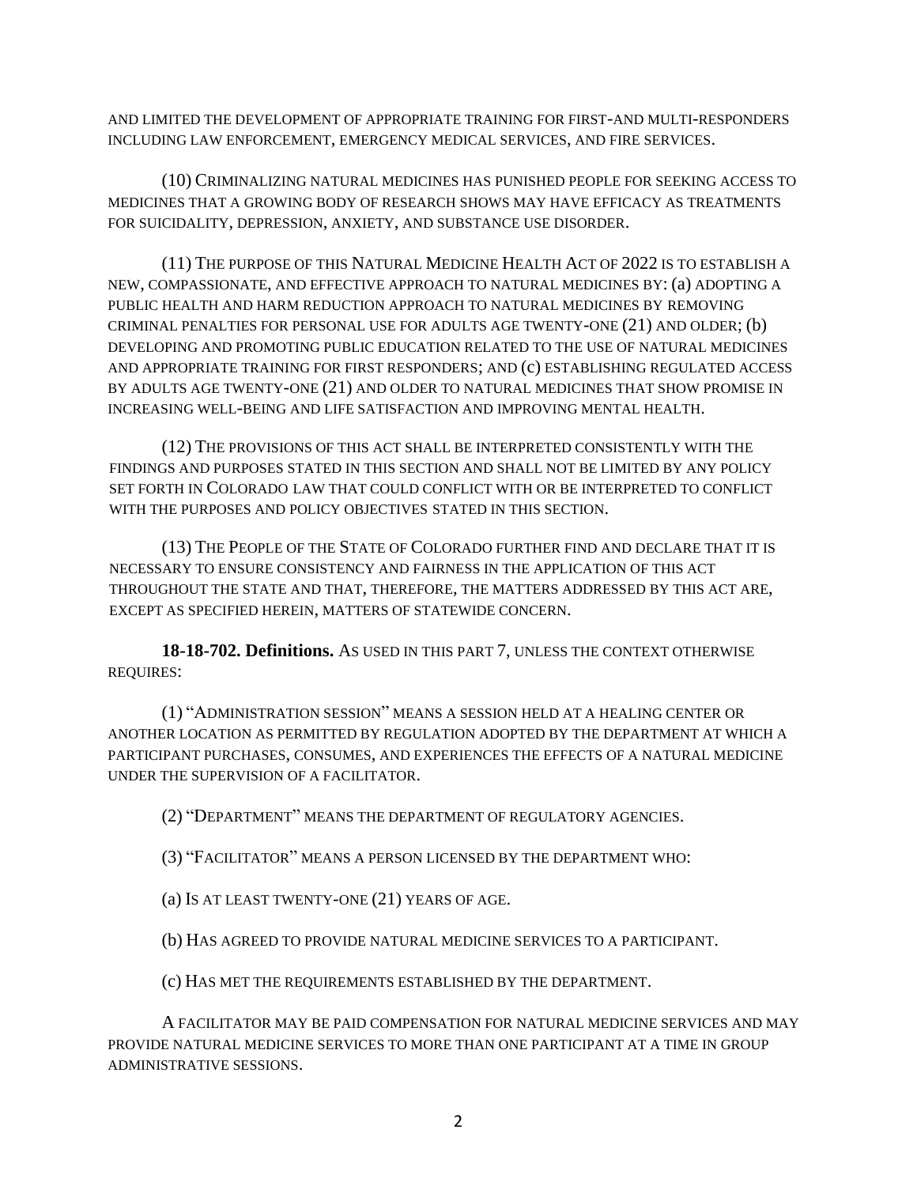AND LIMITED THE DEVELOPMENT OF APPROPRIATE TRAINING FOR FIRST-AND MULTI-RESPONDERS INCLUDING LAW ENFORCEMENT, EMERGENCY MEDICAL SERVICES, AND FIRE SERVICES.

(10) CRIMINALIZING NATURAL MEDICINES HAS PUNISHED PEOPLE FOR SEEKING ACCESS TO MEDICINES THAT A GROWING BODY OF RESEARCH SHOWS MAY HAVE EFFICACY AS TREATMENTS FOR SUICIDALITY, DEPRESSION, ANXIETY, AND SUBSTANCE USE DISORDER.

(11) THE PURPOSE OF THIS NATURAL MEDICINE HEALTH ACT OF 2022 IS TO ESTABLISH A NEW, COMPASSIONATE, AND EFFECTIVE APPROACH TO NATURAL MEDICINES BY: (a) ADOPTING A PUBLIC HEALTH AND HARM REDUCTION APPROACH TO NATURAL MEDICINES BY REMOVING CRIMINAL PENALTIES FOR PERSONAL USE FOR ADULTS AGE TWENTY-ONE (21) AND OLDER; (b) DEVELOPING AND PROMOTING PUBLIC EDUCATION RELATED TO THE USE OF NATURAL MEDICINES AND APPROPRIATE TRAINING FOR FIRST RESPONDERS; AND (c) ESTABLISHING REGULATED ACCESS BY ADULTS AGE TWENTY-ONE (21) AND OLDER TO NATURAL MEDICINES THAT SHOW PROMISE IN INCREASING WELL-BEING AND LIFE SATISFACTION AND IMPROVING MENTAL HEALTH.

(12) THE PROVISIONS OF THIS ACT SHALL BE INTERPRETED CONSISTENTLY WITH THE FINDINGS AND PURPOSES STATED IN THIS SECTION AND SHALL NOT BE LIMITED BY ANY POLICY SET FORTH IN COLORADO LAW THAT COULD CONFLICT WITH OR BE INTERPRETED TO CONFLICT WITH THE PURPOSES AND POLICY OBJECTIVES STATED IN THIS SECTION.

(13) THE PEOPLE OF THE STATE OF COLORADO FURTHER FIND AND DECLARE THAT IT IS NECESSARY TO ENSURE CONSISTENCY AND FAIRNESS IN THE APPLICATION OF THIS ACT THROUGHOUT THE STATE AND THAT, THEREFORE, THE MATTERS ADDRESSED BY THIS ACT ARE, EXCEPT AS SPECIFIED HEREIN, MATTERS OF STATEWIDE CONCERN.

**18-18-702. Definitions.** AS USED IN THIS PART 7, UNLESS THE CONTEXT OTHERWISE REQUIRES:

(1) "ADMINISTRATION SESSION" MEANS A SESSION HELD AT A HEALING CENTER OR ANOTHER LOCATION AS PERMITTED BY REGULATION ADOPTED BY THE DEPARTMENT AT WHICH A PARTICIPANT PURCHASES, CONSUMES, AND EXPERIENCES THE EFFECTS OF A NATURAL MEDICINE UNDER THE SUPERVISION OF A FACILITATOR.

(2) "DEPARTMENT" MEANS THE DEPARTMENT OF REGULATORY AGENCIES.

(3) "FACILITATOR" MEANS A PERSON LICENSED BY THE DEPARTMENT WHO:

(a) IS AT LEAST TWENTY-ONE (21) YEARS OF AGE.

(b) HAS AGREED TO PROVIDE NATURAL MEDICINE SERVICES TO A PARTICIPANT.

(c) HAS MET THE REQUIREMENTS ESTABLISHED BY THE DEPARTMENT.

A FACILITATOR MAY BE PAID COMPENSATION FOR NATURAL MEDICINE SERVICES AND MAY PROVIDE NATURAL MEDICINE SERVICES TO MORE THAN ONE PARTICIPANT AT A TIME IN GROUP ADMINISTRATIVE SESSIONS.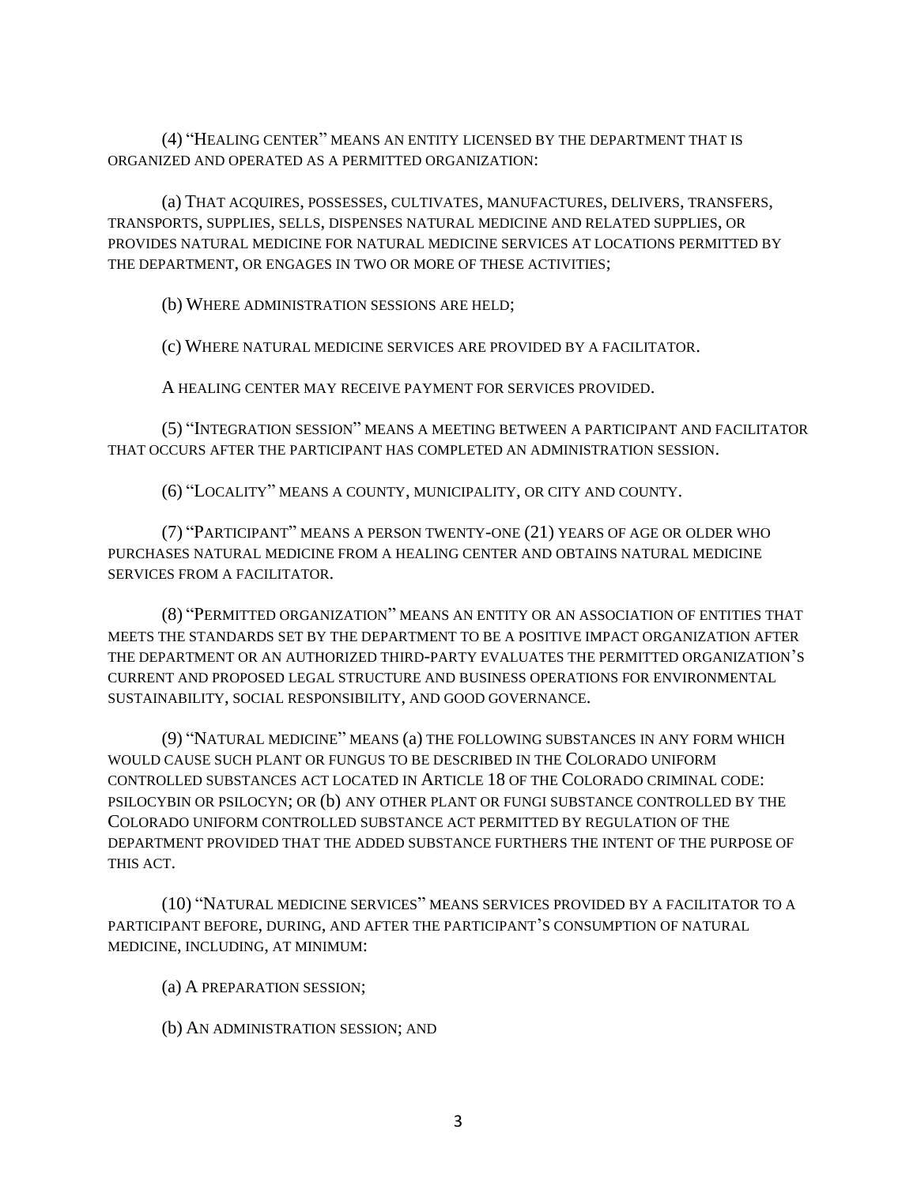(4) "HEALING CENTER" MEANS AN ENTITY LICENSED BY THE DEPARTMENT THAT IS ORGANIZED AND OPERATED AS A PERMITTED ORGANIZATION:

(a) THAT ACQUIRES, POSSESSES, CULTIVATES, MANUFACTURES, DELIVERS, TRANSFERS, TRANSPORTS, SUPPLIES, SELLS, DISPENSES NATURAL MEDICINE AND RELATED SUPPLIES, OR PROVIDES NATURAL MEDICINE FOR NATURAL MEDICINE SERVICES AT LOCATIONS PERMITTED BY THE DEPARTMENT, OR ENGAGES IN TWO OR MORE OF THESE ACTIVITIES;

(b) WHERE ADMINISTRATION SESSIONS ARE HELD;

(c) WHERE NATURAL MEDICINE SERVICES ARE PROVIDED BY A FACILITATOR.

A HEALING CENTER MAY RECEIVE PAYMENT FOR SERVICES PROVIDED.

(5) "INTEGRATION SESSION" MEANS A MEETING BETWEEN A PARTICIPANT AND FACILITATOR THAT OCCURS AFTER THE PARTICIPANT HAS COMPLETED AN ADMINISTRATION SESSION.

(6) "LOCALITY" MEANS A COUNTY, MUNICIPALITY, OR CITY AND COUNTY.

(7) "PARTICIPANT" MEANS A PERSON TWENTY-ONE (21) YEARS OF AGE OR OLDER WHO PURCHASES NATURAL MEDICINE FROM A HEALING CENTER AND OBTAINS NATURAL MEDICINE SERVICES FROM A FACILITATOR.

(8) "PERMITTED ORGANIZATION" MEANS AN ENTITY OR AN ASSOCIATION OF ENTITIES THAT MEETS THE STANDARDS SET BY THE DEPARTMENT TO BE A POSITIVE IMPACT ORGANIZATION AFTER THE DEPARTMENT OR AN AUTHORIZED THIRD-PARTY EVALUATES THE PERMITTED ORGANIZATION'S CURRENT AND PROPOSED LEGAL STRUCTURE AND BUSINESS OPERATIONS FOR ENVIRONMENTAL SUSTAINABILITY, SOCIAL RESPONSIBILITY, AND GOOD GOVERNANCE.

(9) "NATURAL MEDICINE" MEANS (a) THE FOLLOWING SUBSTANCES IN ANY FORM WHICH WOULD CAUSE SUCH PLANT OR FUNGUS TO BE DESCRIBED IN THE COLORADO UNIFORM CONTROLLED SUBSTANCES ACT LOCATED IN ARTICLE 18 OF THE COLORADO CRIMINAL CODE: PSILOCYBIN OR PSILOCYN; OR (b) ANY OTHER PLANT OR FUNGI SUBSTANCE CONTROLLED BY THE COLORADO UNIFORM CONTROLLED SUBSTANCE ACT PERMITTED BY REGULATION OF THE DEPARTMENT PROVIDED THAT THE ADDED SUBSTANCE FURTHERS THE INTENT OF THE PURPOSE OF THIS ACT.

(10) "NATURAL MEDICINE SERVICES" MEANS SERVICES PROVIDED BY A FACILITATOR TO A PARTICIPANT BEFORE, DURING, AND AFTER THE PARTICIPANT'S CONSUMPTION OF NATURAL MEDICINE, INCLUDING, AT MINIMUM:

(a) A PREPARATION SESSION;

(b) AN ADMINISTRATION SESSION; AND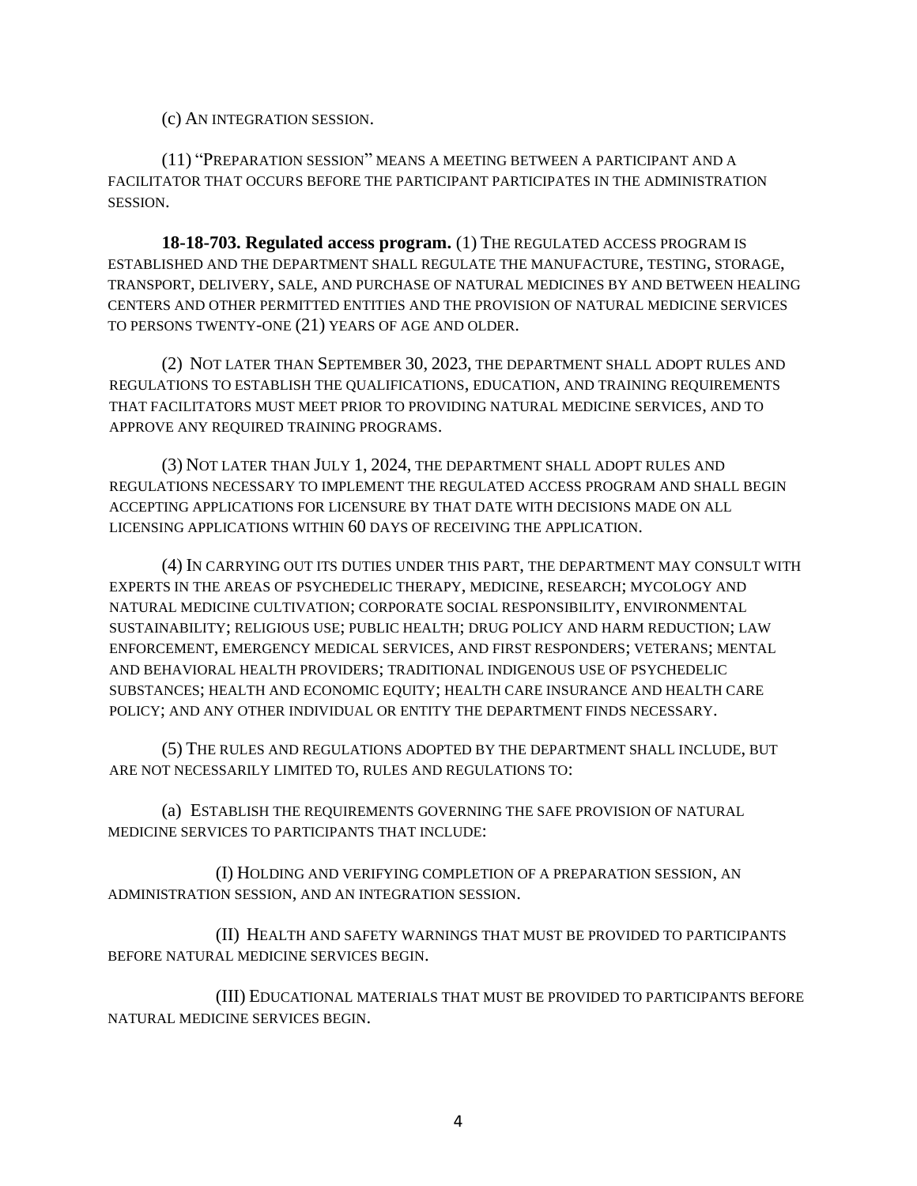(c) AN INTEGRATION SESSION.

(11) "PREPARATION SESSION" MEANS A MEETING BETWEEN A PARTICIPANT AND A FACILITATOR THAT OCCURS BEFORE THE PARTICIPANT PARTICIPATES IN THE ADMINISTRATION SESSION.

**18-18-703. Regulated access program.** (1) THE REGULATED ACCESS PROGRAM IS ESTABLISHED AND THE DEPARTMENT SHALL REGULATE THE MANUFACTURE, TESTING, STORAGE, TRANSPORT, DELIVERY, SALE, AND PURCHASE OF NATURAL MEDICINES BY AND BETWEEN HEALING CENTERS AND OTHER PERMITTED ENTITIES AND THE PROVISION OF NATURAL MEDICINE SERVICES TO PERSONS TWENTY-ONE (21) YEARS OF AGE AND OLDER.

(2) NOT LATER THAN SEPTEMBER 30, 2023, THE DEPARTMENT SHALL ADOPT RULES AND REGULATIONS TO ESTABLISH THE QUALIFICATIONS, EDUCATION, AND TRAINING REQUIREMENTS THAT FACILITATORS MUST MEET PRIOR TO PROVIDING NATURAL MEDICINE SERVICES, AND TO APPROVE ANY REQUIRED TRAINING PROGRAMS.

(3) NOT LATER THAN JULY 1, 2024, THE DEPARTMENT SHALL ADOPT RULES AND REGULATIONS NECESSARY TO IMPLEMENT THE REGULATED ACCESS PROGRAM AND SHALL BEGIN ACCEPTING APPLICATIONS FOR LICENSURE BY THAT DATE WITH DECISIONS MADE ON ALL LICENSING APPLICATIONS WITHIN 60 DAYS OF RECEIVING THE APPLICATION.

(4) IN CARRYING OUT ITS DUTIES UNDER THIS PART, THE DEPARTMENT MAY CONSULT WITH EXPERTS IN THE AREAS OF PSYCHEDELIC THERAPY, MEDICINE, RESEARCH; MYCOLOGY AND NATURAL MEDICINE CULTIVATION; CORPORATE SOCIAL RESPONSIBILITY, ENVIRONMENTAL SUSTAINABILITY; RELIGIOUS USE; PUBLIC HEALTH; DRUG POLICY AND HARM REDUCTION; LAW ENFORCEMENT, EMERGENCY MEDICAL SERVICES, AND FIRST RESPONDERS; VETERANS; MENTAL AND BEHAVIORAL HEALTH PROVIDERS; TRADITIONAL INDIGENOUS USE OF PSYCHEDELIC SUBSTANCES; HEALTH AND ECONOMIC EQUITY; HEALTH CARE INSURANCE AND HEALTH CARE POLICY; AND ANY OTHER INDIVIDUAL OR ENTITY THE DEPARTMENT FINDS NECESSARY.

(5) THE RULES AND REGULATIONS ADOPTED BY THE DEPARTMENT SHALL INCLUDE, BUT ARE NOT NECESSARILY LIMITED TO, RULES AND REGULATIONS TO:

(a) ESTABLISH THE REQUIREMENTS GOVERNING THE SAFE PROVISION OF NATURAL MEDICINE SERVICES TO PARTICIPANTS THAT INCLUDE:

(I) HOLDING AND VERIFYING COMPLETION OF A PREPARATION SESSION, AN ADMINISTRATION SESSION, AND AN INTEGRATION SESSION.

(II) HEALTH AND SAFETY WARNINGS THAT MUST BE PROVIDED TO PARTICIPANTS BEFORE NATURAL MEDICINE SERVICES BEGIN.

(III) EDUCATIONAL MATERIALS THAT MUST BE PROVIDED TO PARTICIPANTS BEFORE NATURAL MEDICINE SERVICES BEGIN.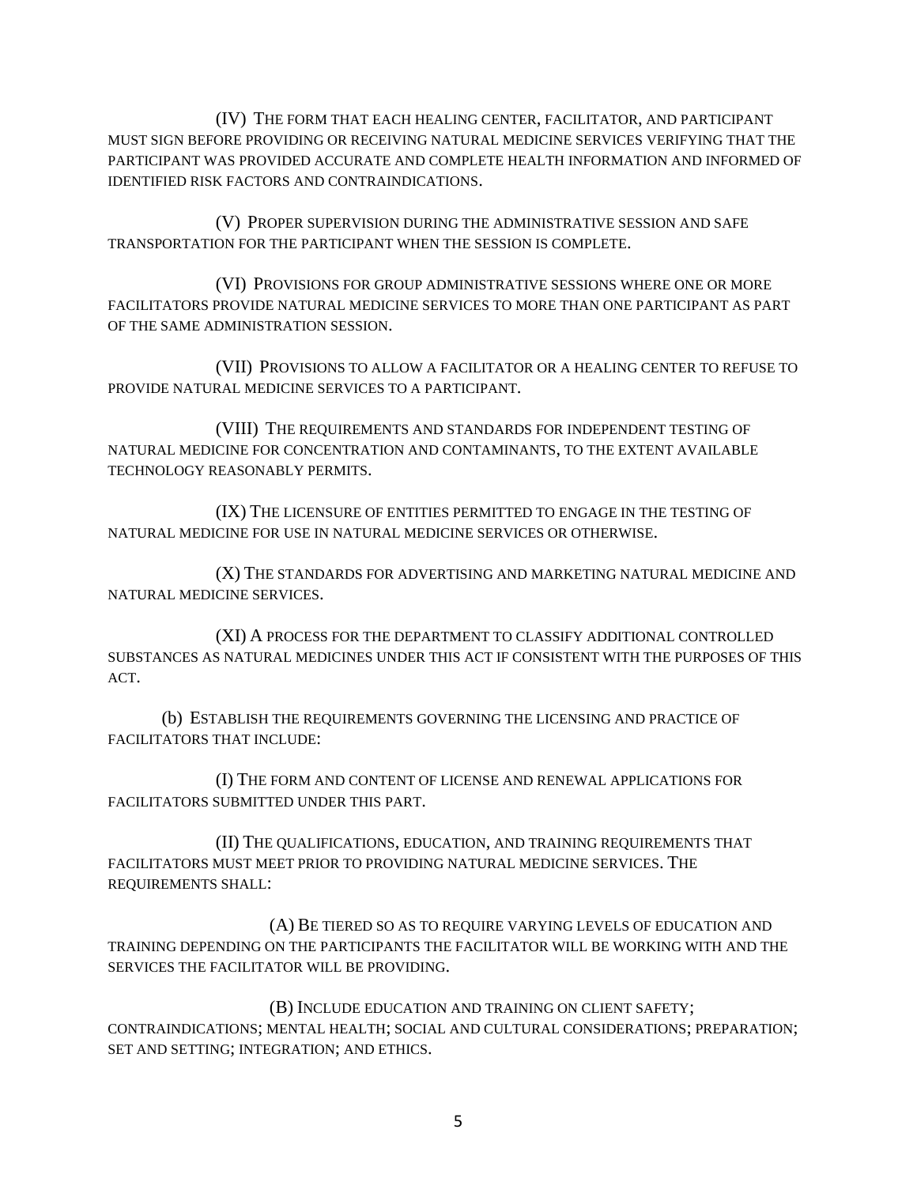(IV) THE FORM THAT EACH HEALING CENTER, FACILITATOR, AND PARTICIPANT MUST SIGN BEFORE PROVIDING OR RECEIVING NATURAL MEDICINE SERVICES VERIFYING THAT THE PARTICIPANT WAS PROVIDED ACCURATE AND COMPLETE HEALTH INFORMATION AND INFORMED OF IDENTIFIED RISK FACTORS AND CONTRAINDICATIONS.

(V) PROPER SUPERVISION DURING THE ADMINISTRATIVE SESSION AND SAFE TRANSPORTATION FOR THE PARTICIPANT WHEN THE SESSION IS COMPLETE.

(VI) PROVISIONS FOR GROUP ADMINISTRATIVE SESSIONS WHERE ONE OR MORE FACILITATORS PROVIDE NATURAL MEDICINE SERVICES TO MORE THAN ONE PARTICIPANT AS PART OF THE SAME ADMINISTRATION SESSION.

(VII) PROVISIONS TO ALLOW A FACILITATOR OR A HEALING CENTER TO REFUSE TO PROVIDE NATURAL MEDICINE SERVICES TO A PARTICIPANT.

(VIII) THE REQUIREMENTS AND STANDARDS FOR INDEPENDENT TESTING OF NATURAL MEDICINE FOR CONCENTRATION AND CONTAMINANTS, TO THE EXTENT AVAILABLE TECHNOLOGY REASONABLY PERMITS.

(IX) THE LICENSURE OF ENTITIES PERMITTED TO ENGAGE IN THE TESTING OF NATURAL MEDICINE FOR USE IN NATURAL MEDICINE SERVICES OR OTHERWISE.

(X) THE STANDARDS FOR ADVERTISING AND MARKETING NATURAL MEDICINE AND NATURAL MEDICINE SERVICES.

(XI) A PROCESS FOR THE DEPARTMENT TO CLASSIFY ADDITIONAL CONTROLLED SUBSTANCES AS NATURAL MEDICINES UNDER THIS ACT IF CONSISTENT WITH THE PURPOSES OF THIS ACT.

(b) ESTABLISH THE REQUIREMENTS GOVERNING THE LICENSING AND PRACTICE OF FACILITATORS THAT INCLUDE:

(I) THE FORM AND CONTENT OF LICENSE AND RENEWAL APPLICATIONS FOR FACILITATORS SUBMITTED UNDER THIS PART.

(II) THE QUALIFICATIONS, EDUCATION, AND TRAINING REQUIREMENTS THAT FACILITATORS MUST MEET PRIOR TO PROVIDING NATURAL MEDICINE SERVICES. THE REQUIREMENTS SHALL:

(A) BE TIERED SO AS TO REQUIRE VARYING LEVELS OF EDUCATION AND TRAINING DEPENDING ON THE PARTICIPANTS THE FACILITATOR WILL BE WORKING WITH AND THE SERVICES THE FACILITATOR WILL BE PROVIDING.

(B) INCLUDE EDUCATION AND TRAINING ON CLIENT SAFETY; CONTRAINDICATIONS; MENTAL HEALTH; SOCIAL AND CULTURAL CONSIDERATIONS; PREPARATION; SET AND SETTING; INTEGRATION; AND ETHICS.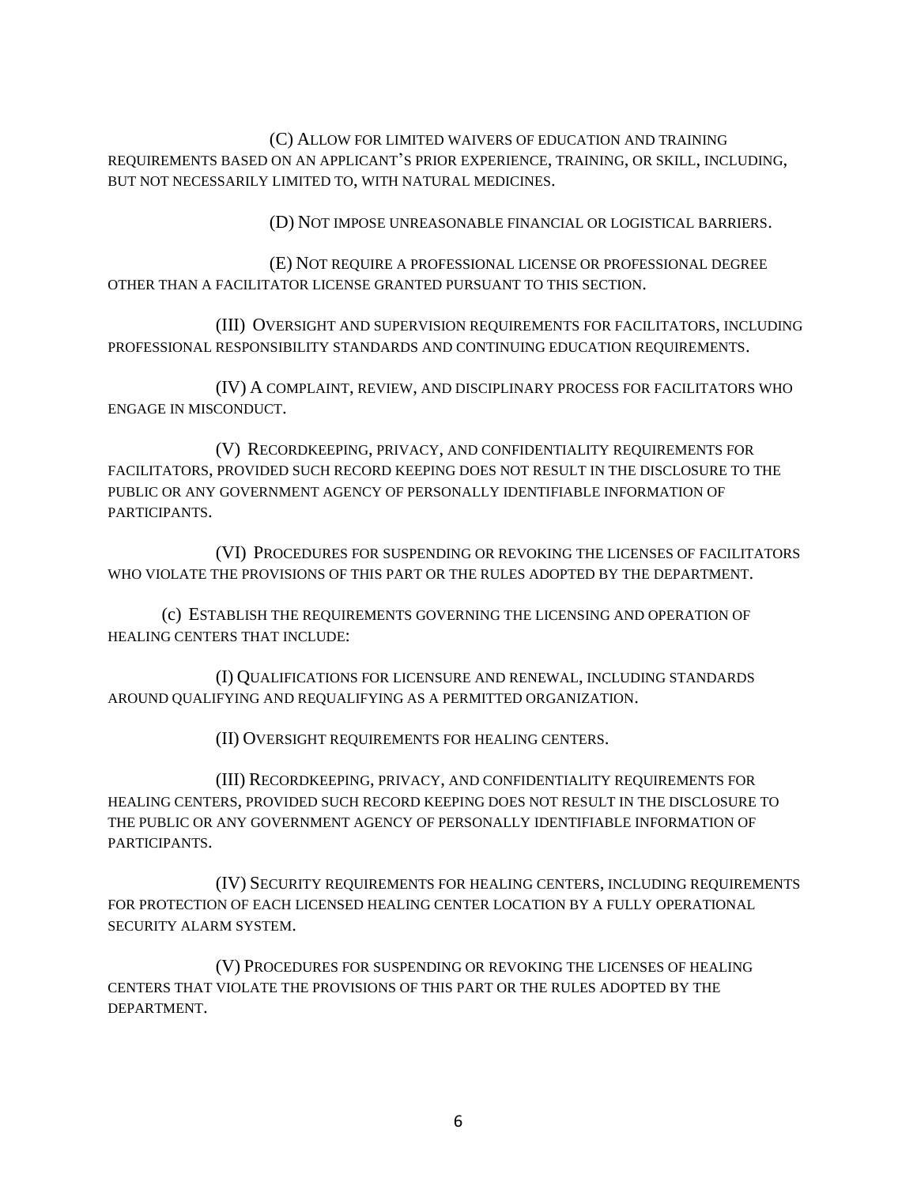(C) ALLOW FOR LIMITED WAIVERS OF EDUCATION AND TRAINING REQUIREMENTS BASED ON AN APPLICANT'S PRIOR EXPERIENCE, TRAINING, OR SKILL, INCLUDING, BUT NOT NECESSARILY LIMITED TO, WITH NATURAL MEDICINES.

(D) NOT IMPOSE UNREASONABLE FINANCIAL OR LOGISTICAL BARRIERS.

(E) NOT REQUIRE A PROFESSIONAL LICENSE OR PROFESSIONAL DEGREE OTHER THAN A FACILITATOR LICENSE GRANTED PURSUANT TO THIS SECTION.

(III) OVERSIGHT AND SUPERVISION REQUIREMENTS FOR FACILITATORS, INCLUDING PROFESSIONAL RESPONSIBILITY STANDARDS AND CONTINUING EDUCATION REQUIREMENTS.

(IV) A COMPLAINT, REVIEW, AND DISCIPLINARY PROCESS FOR FACILITATORS WHO ENGAGE IN MISCONDUCT.

(V) RECORDKEEPING, PRIVACY, AND CONFIDENTIALITY REQUIREMENTS FOR FACILITATORS, PROVIDED SUCH RECORD KEEPING DOES NOT RESULT IN THE DISCLOSURE TO THE PUBLIC OR ANY GOVERNMENT AGENCY OF PERSONALLY IDENTIFIABLE INFORMATION OF PARTICIPANTS.

(VI) PROCEDURES FOR SUSPENDING OR REVOKING THE LICENSES OF FACILITATORS WHO VIOLATE THE PROVISIONS OF THIS PART OR THE RULES ADOPTED BY THE DEPARTMENT.

(c) ESTABLISH THE REQUIREMENTS GOVERNING THE LICENSING AND OPERATION OF HEALING CENTERS THAT INCLUDE:

(I) QUALIFICATIONS FOR LICENSURE AND RENEWAL, INCLUDING STANDARDS AROUND QUALIFYING AND REQUALIFYING AS A PERMITTED ORGANIZATION.

(II) OVERSIGHT REQUIREMENTS FOR HEALING CENTERS.

(III) RECORDKEEPING, PRIVACY, AND CONFIDENTIALITY REQUIREMENTS FOR HEALING CENTERS, PROVIDED SUCH RECORD KEEPING DOES NOT RESULT IN THE DISCLOSURE TO THE PUBLIC OR ANY GOVERNMENT AGENCY OF PERSONALLY IDENTIFIABLE INFORMATION OF PARTICIPANTS.

(IV) SECURITY REQUIREMENTS FOR HEALING CENTERS, INCLUDING REQUIREMENTS FOR PROTECTION OF EACH LICENSED HEALING CENTER LOCATION BY A FULLY OPERATIONAL SECURITY ALARM SYSTEM.

(V) PROCEDURES FOR SUSPENDING OR REVOKING THE LICENSES OF HEALING CENTERS THAT VIOLATE THE PROVISIONS OF THIS PART OR THE RULES ADOPTED BY THE DEPARTMENT.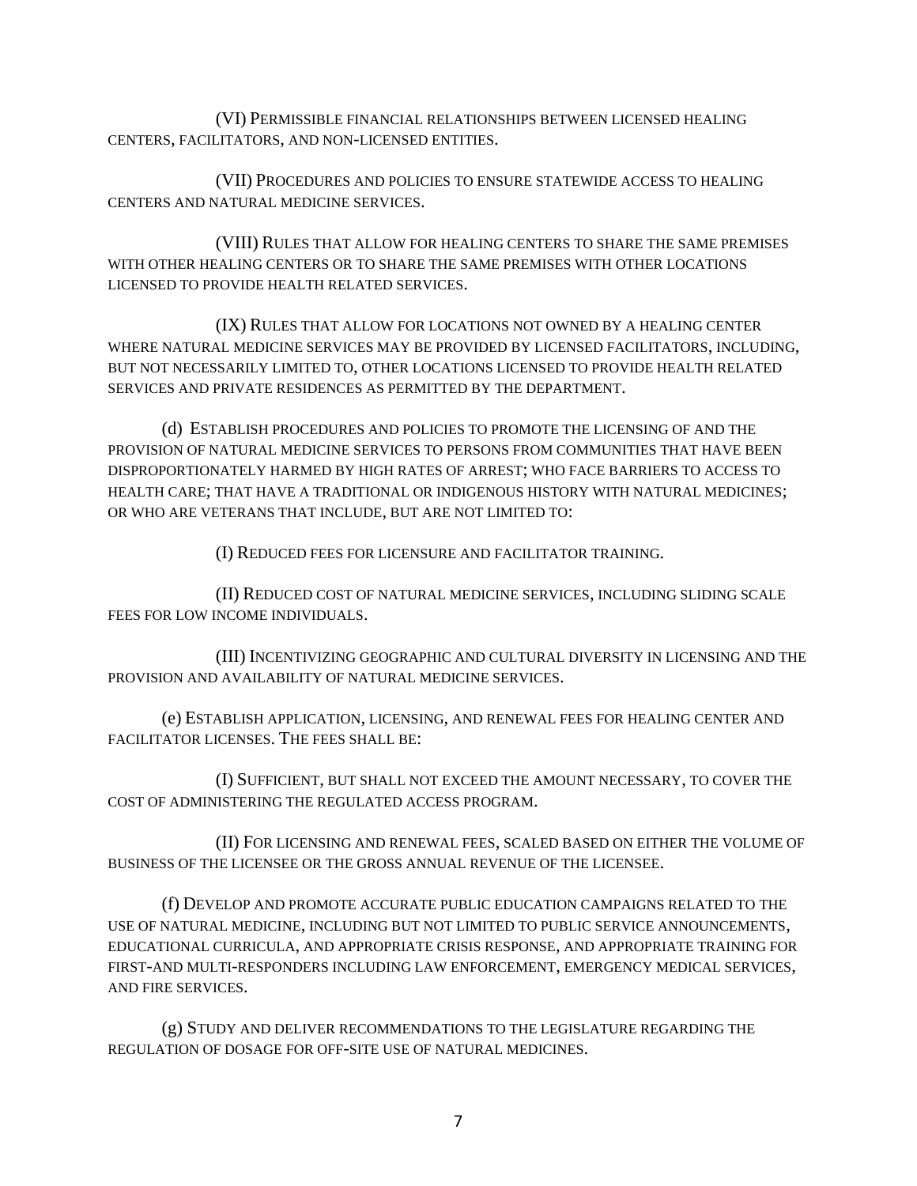(VI) PERMISSIBLE FINANCIAL RELATIONSHIPS BETWEEN LICENSED HEALING CENTERS, FACILITATORS, AND NON-LICENSED ENTITIES.

(VII) PROCEDURES AND POLICIES TO ENSURE STATEWIDE ACCESS TO HEALING CENTERS AND NATURAL MEDICINE SERVICES.

(VIII) RULES THAT ALLOW FOR HEALING CENTERS TO SHARE THE SAME PREMISES WITH OTHER HEALING CENTERS OR TO SHARE THE SAME PREMISES WITH OTHER LOCATIONS LICENSED TO PROVIDE HEALTH RELATED SERVICES.

(IX) RULES THAT ALLOW FOR LOCATIONS NOT OWNED BY A HEALING CENTER WHERE NATURAL MEDICINE SERVICES MAY BE PROVIDED BY LICENSED FACILITATORS, INCLUDING, BUT NOT NECESSARILY LIMITED TO, OTHER LOCATIONS LICENSED TO PROVIDE HEALTH RELATED SERVICES AND PRIVATE RESIDENCES AS PERMITTED BY THE DEPARTMENT.

(d) ESTABLISH PROCEDURES AND POLICIES TO PROMOTE THE LICENSING OF AND THE PROVISION OF NATURAL MEDICINE SERVICES TO PERSONS FROM COMMUNITIES THAT HAVE BEEN DISPROPORTIONATELY HARMED BY HIGH RATES OF ARREST; WHO FACE BARRIERS TO ACCESS TO HEALTH CARE; THAT HAVE A TRADITIONAL OR INDIGENOUS HISTORY WITH NATURAL MEDICINES; OR WHO ARE VETERANS THAT INCLUDE, BUT ARE NOT LIMITED TO:

(I) REDUCED FEES FOR LICENSURE AND FACILITATOR TRAINING.

(II) REDUCED COST OF NATURAL MEDICINE SERVICES, INCLUDING SLIDING SCALE FEES FOR LOW INCOME INDIVIDUALS.

(III) INCENTIVIZING GEOGRAPHIC AND CULTURAL DIVERSITY IN LICENSING AND THE PROVISION AND AVAILABILITY OF NATURAL MEDICINE SERVICES.

(e) ESTABLISH APPLICATION, LICENSING, AND RENEWAL FEES FOR HEALING CENTER AND FACILITATOR LICENSES. THE FEES SHALL BE:

(I) SUFFICIENT, BUT SHALL NOT EXCEED THE AMOUNT NECESSARY, TO COVER THE COST OF ADMINISTERING THE REGULATED ACCESS PROGRAM.

(II) FOR LICENSING AND RENEWAL FEES, SCALED BASED ON EITHER THE VOLUME OF BUSINESS OF THE LICENSEE OR THE GROSS ANNUAL REVENUE OF THE LICENSEE.

(f) DEVELOP AND PROMOTE ACCURATE PUBLIC EDUCATION CAMPAIGNS RELATED TO THE USE OF NATURAL MEDICINE, INCLUDING BUT NOT LIMITED TO PUBLIC SERVICE ANNOUNCEMENTS, EDUCATIONAL CURRICULA, AND APPROPRIATE CRISIS RESPONSE, AND APPROPRIATE TRAINING FOR FIRST-AND MULTI-RESPONDERS INCLUDING LAW ENFORCEMENT, EMERGENCY MEDICAL SERVICES, AND FIRE SERVICES.

(g) STUDY AND DELIVER RECOMMENDATIONS TO THE LEGISLATURE REGARDING THE REGULATION OF DOSAGE FOR OFF-SITE USE OF NATURAL MEDICINES.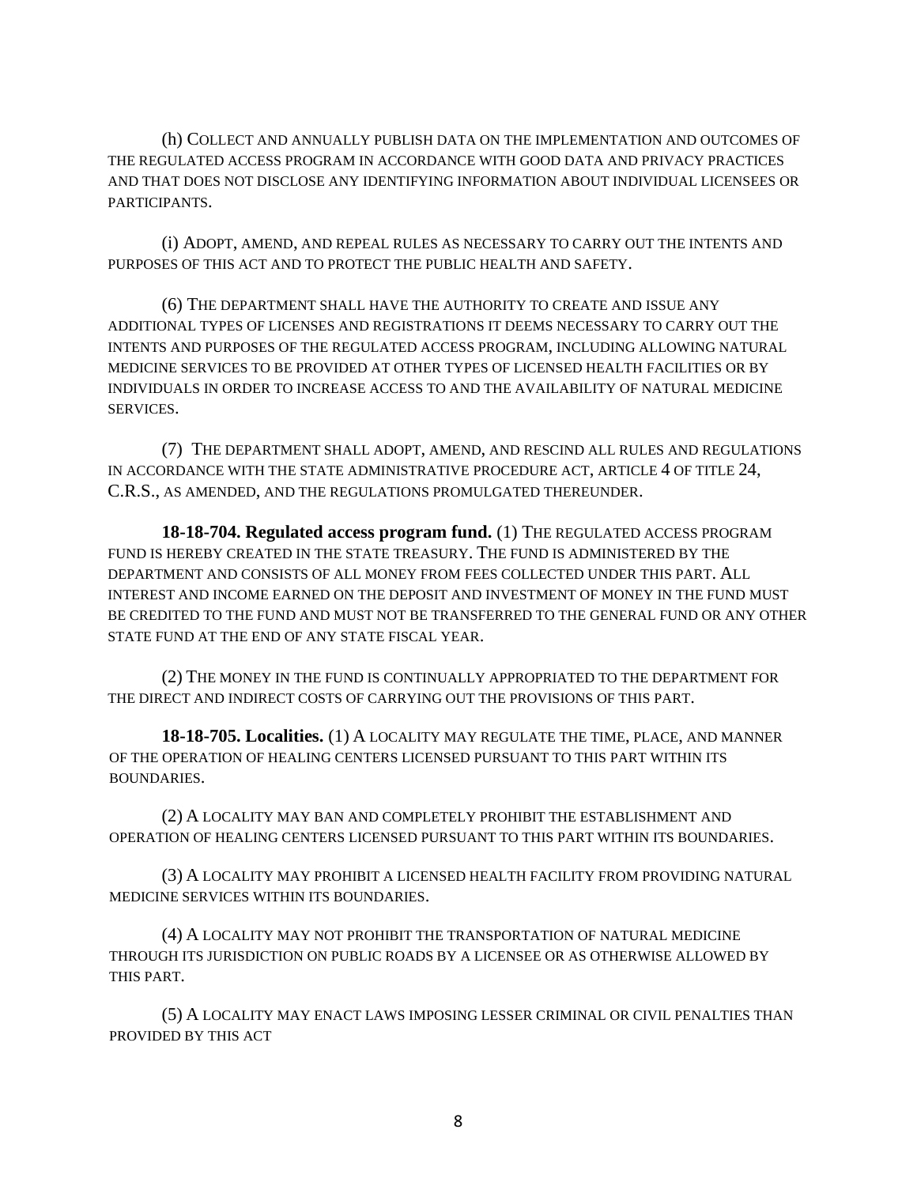(h) COLLECT AND ANNUALLY PUBLISH DATA ON THE IMPLEMENTATION AND OUTCOMES OF THE REGULATED ACCESS PROGRAM IN ACCORDANCE WITH GOOD DATA AND PRIVACY PRACTICES AND THAT DOES NOT DISCLOSE ANY IDENTIFYING INFORMATION ABOUT INDIVIDUAL LICENSEES OR PARTICIPANTS.

(i) ADOPT, AMEND, AND REPEAL RULES AS NECESSARY TO CARRY OUT THE INTENTS AND PURPOSES OF THIS ACT AND TO PROTECT THE PUBLIC HEALTH AND SAFETY.

(6) THE DEPARTMENT SHALL HAVE THE AUTHORITY TO CREATE AND ISSUE ANY ADDITIONAL TYPES OF LICENSES AND REGISTRATIONS IT DEEMS NECESSARY TO CARRY OUT THE INTENTS AND PURPOSES OF THE REGULATED ACCESS PROGRAM, INCLUDING ALLOWING NATURAL MEDICINE SERVICES TO BE PROVIDED AT OTHER TYPES OF LICENSED HEALTH FACILITIES OR BY INDIVIDUALS IN ORDER TO INCREASE ACCESS TO AND THE AVAILABILITY OF NATURAL MEDICINE SERVICES.

(7) THE DEPARTMENT SHALL ADOPT, AMEND, AND RESCIND ALL RULES AND REGULATIONS IN ACCORDANCE WITH THE STATE ADMINISTRATIVE PROCEDURE ACT, ARTICLE 4 OF TITLE 24, C.R.S., AS AMENDED, AND THE REGULATIONS PROMULGATED THEREUNDER.

**18-18-704. Regulated access program fund.** (1) THE REGULATED ACCESS PROGRAM FUND IS HEREBY CREATED IN THE STATE TREASURY. THE FUND IS ADMINISTERED BY THE DEPARTMENT AND CONSISTS OF ALL MONEY FROM FEES COLLECTED UNDER THIS PART. ALL INTEREST AND INCOME EARNED ON THE DEPOSIT AND INVESTMENT OF MONEY IN THE FUND MUST BE CREDITED TO THE FUND AND MUST NOT BE TRANSFERRED TO THE GENERAL FUND OR ANY OTHER STATE FUND AT THE END OF ANY STATE FISCAL YEAR.

(2) THE MONEY IN THE FUND IS CONTINUALLY APPROPRIATED TO THE DEPARTMENT FOR THE DIRECT AND INDIRECT COSTS OF CARRYING OUT THE PROVISIONS OF THIS PART.

**18-18-705. Localities.** (1) A LOCALITY MAY REGULATE THE TIME, PLACE, AND MANNER OF THE OPERATION OF HEALING CENTERS LICENSED PURSUANT TO THIS PART WITHIN ITS BOUNDARIES.

(2) A LOCALITY MAY BAN AND COMPLETELY PROHIBIT THE ESTABLISHMENT AND OPERATION OF HEALING CENTERS LICENSED PURSUANT TO THIS PART WITHIN ITS BOUNDARIES.

(3) A LOCALITY MAY PROHIBIT A LICENSED HEALTH FACILITY FROM PROVIDING NATURAL MEDICINE SERVICES WITHIN ITS BOUNDARIES.

(4) A LOCALITY MAY NOT PROHIBIT THE TRANSPORTATION OF NATURAL MEDICINE THROUGH ITS JURISDICTION ON PUBLIC ROADS BY A LICENSEE OR AS OTHERWISE ALLOWED BY THIS PART.

(5) A LOCALITY MAY ENACT LAWS IMPOSING LESSER CRIMINAL OR CIVIL PENALTIES THAN PROVIDED BY THIS ACT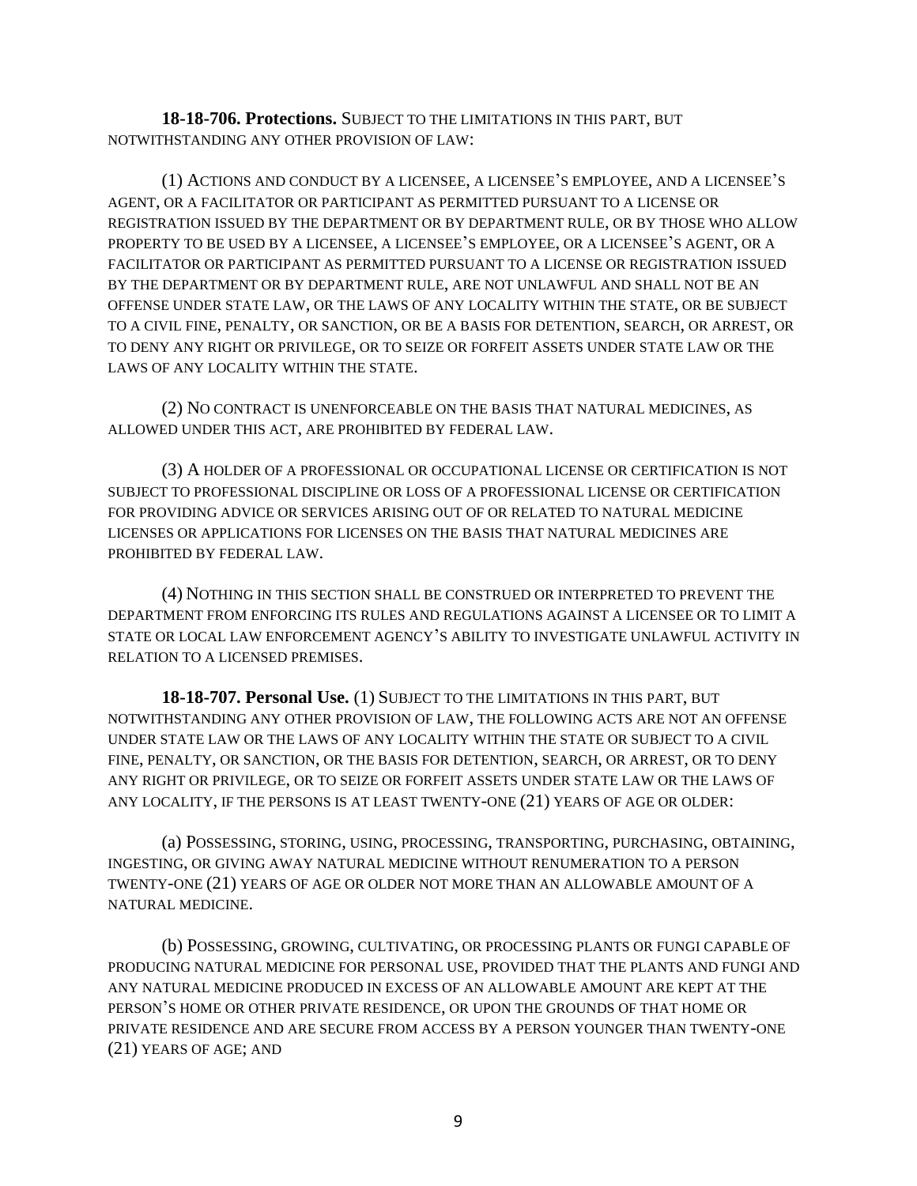**18-18-706. Protections.** SUBJECT TO THE LIMITATIONS IN THIS PART, BUT NOTWITHSTANDING ANY OTHER PROVISION OF LAW:

(1) ACTIONS AND CONDUCT BY A LICENSEE, A LICENSEE'S EMPLOYEE, AND A LICENSEE'S AGENT, OR A FACILITATOR OR PARTICIPANT AS PERMITTED PURSUANT TO A LICENSE OR REGISTRATION ISSUED BY THE DEPARTMENT OR BY DEPARTMENT RULE, OR BY THOSE WHO ALLOW PROPERTY TO BE USED BY A LICENSEE, A LICENSEE'S EMPLOYEE, OR A LICENSEE'S AGENT, OR A FACILITATOR OR PARTICIPANT AS PERMITTED PURSUANT TO A LICENSE OR REGISTRATION ISSUED BY THE DEPARTMENT OR BY DEPARTMENT RULE, ARE NOT UNLAWFUL AND SHALL NOT BE AN OFFENSE UNDER STATE LAW, OR THE LAWS OF ANY LOCALITY WITHIN THE STATE, OR BE SUBJECT TO A CIVIL FINE, PENALTY, OR SANCTION, OR BE A BASIS FOR DETENTION, SEARCH, OR ARREST, OR TO DENY ANY RIGHT OR PRIVILEGE, OR TO SEIZE OR FORFEIT ASSETS UNDER STATE LAW OR THE LAWS OF ANY LOCALITY WITHIN THE STATE.

(2) NO CONTRACT IS UNENFORCEABLE ON THE BASIS THAT NATURAL MEDICINES, AS ALLOWED UNDER THIS ACT, ARE PROHIBITED BY FEDERAL LAW.

(3) A HOLDER OF A PROFESSIONAL OR OCCUPATIONAL LICENSE OR CERTIFICATION IS NOT SUBJECT TO PROFESSIONAL DISCIPLINE OR LOSS OF A PROFESSIONAL LICENSE OR CERTIFICATION FOR PROVIDING ADVICE OR SERVICES ARISING OUT OF OR RELATED TO NATURAL MEDICINE LICENSES OR APPLICATIONS FOR LICENSES ON THE BASIS THAT NATURAL MEDICINES ARE PROHIBITED BY FEDERAL LAW.

(4) NOTHING IN THIS SECTION SHALL BE CONSTRUED OR INTERPRETED TO PREVENT THE DEPARTMENT FROM ENFORCING ITS RULES AND REGULATIONS AGAINST A LICENSEE OR TO LIMIT A STATE OR LOCAL LAW ENFORCEMENT AGENCY'S ABILITY TO INVESTIGATE UNLAWFUL ACTIVITY IN RELATION TO A LICENSED PREMISES.

**18-18-707. Personal Use.** (1) SUBJECT TO THE LIMITATIONS IN THIS PART, BUT NOTWITHSTANDING ANY OTHER PROVISION OF LAW, THE FOLLOWING ACTS ARE NOT AN OFFENSE UNDER STATE LAW OR THE LAWS OF ANY LOCALITY WITHIN THE STATE OR SUBJECT TO A CIVIL FINE, PENALTY, OR SANCTION, OR THE BASIS FOR DETENTION, SEARCH, OR ARREST, OR TO DENY ANY RIGHT OR PRIVILEGE, OR TO SEIZE OR FORFEIT ASSETS UNDER STATE LAW OR THE LAWS OF ANY LOCALITY, IF THE PERSONS IS AT LEAST TWENTY-ONE (21) YEARS OF AGE OR OLDER:

(a) POSSESSING, STORING, USING, PROCESSING, TRANSPORTING, PURCHASING, OBTAINING, INGESTING, OR GIVING AWAY NATURAL MEDICINE WITHOUT RENUMERATION TO A PERSON TWENTY-ONE (21) YEARS OF AGE OR OLDER NOT MORE THAN AN ALLOWABLE AMOUNT OF A NATURAL MEDICINE.

(b) POSSESSING, GROWING, CULTIVATING, OR PROCESSING PLANTS OR FUNGI CAPABLE OF PRODUCING NATURAL MEDICINE FOR PERSONAL USE, PROVIDED THAT THE PLANTS AND FUNGI AND ANY NATURAL MEDICINE PRODUCED IN EXCESS OF AN ALLOWABLE AMOUNT ARE KEPT AT THE PERSON'S HOME OR OTHER PRIVATE RESIDENCE, OR UPON THE GROUNDS OF THAT HOME OR PRIVATE RESIDENCE AND ARE SECURE FROM ACCESS BY A PERSON YOUNGER THAN TWENTY-ONE (21) YEARS OF AGE; AND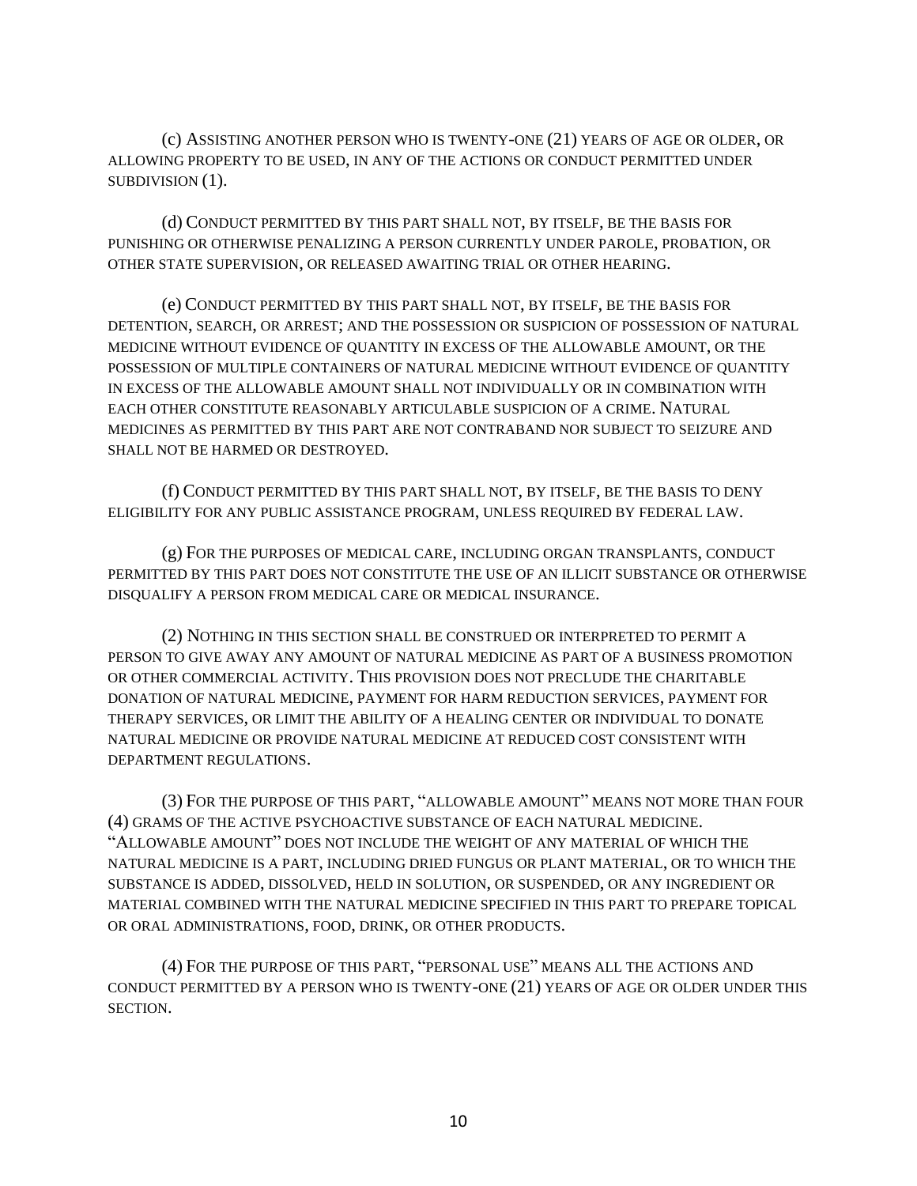(c) ASSISTING ANOTHER PERSON WHO IS TWENTY-ONE (21) YEARS OF AGE OR OLDER, OR ALLOWING PROPERTY TO BE USED, IN ANY OF THE ACTIONS OR CONDUCT PERMITTED UNDER SUBDIVISION (1).

(d) CONDUCT PERMITTED BY THIS PART SHALL NOT, BY ITSELF, BE THE BASIS FOR PUNISHING OR OTHERWISE PENALIZING A PERSON CURRENTLY UNDER PAROLE, PROBATION, OR OTHER STATE SUPERVISION, OR RELEASED AWAITING TRIAL OR OTHER HEARING.

(e) CONDUCT PERMITTED BY THIS PART SHALL NOT, BY ITSELF, BE THE BASIS FOR DETENTION, SEARCH, OR ARREST; AND THE POSSESSION OR SUSPICION OF POSSESSION OF NATURAL MEDICINE WITHOUT EVIDENCE OF QUANTITY IN EXCESS OF THE ALLOWABLE AMOUNT, OR THE POSSESSION OF MULTIPLE CONTAINERS OF NATURAL MEDICINE WITHOUT EVIDENCE OF QUANTITY IN EXCESS OF THE ALLOWABLE AMOUNT SHALL NOT INDIVIDUALLY OR IN COMBINATION WITH EACH OTHER CONSTITUTE REASONABLY ARTICULABLE SUSPICION OF A CRIME. NATURAL MEDICINES AS PERMITTED BY THIS PART ARE NOT CONTRABAND NOR SUBJECT TO SEIZURE AND SHALL NOT BE HARMED OR DESTROYED.

(f) CONDUCT PERMITTED BY THIS PART SHALL NOT, BY ITSELF, BE THE BASIS TO DENY ELIGIBILITY FOR ANY PUBLIC ASSISTANCE PROGRAM, UNLESS REQUIRED BY FEDERAL LAW.

(g) FOR THE PURPOSES OF MEDICAL CARE, INCLUDING ORGAN TRANSPLANTS, CONDUCT PERMITTED BY THIS PART DOES NOT CONSTITUTE THE USE OF AN ILLICIT SUBSTANCE OR OTHERWISE DISQUALIFY A PERSON FROM MEDICAL CARE OR MEDICAL INSURANCE.

(2) NOTHING IN THIS SECTION SHALL BE CONSTRUED OR INTERPRETED TO PERMIT A PERSON TO GIVE AWAY ANY AMOUNT OF NATURAL MEDICINE AS PART OF A BUSINESS PROMOTION OR OTHER COMMERCIAL ACTIVITY. THIS PROVISION DOES NOT PRECLUDE THE CHARITABLE DONATION OF NATURAL MEDICINE, PAYMENT FOR HARM REDUCTION SERVICES, PAYMENT FOR THERAPY SERVICES, OR LIMIT THE ABILITY OF A HEALING CENTER OR INDIVIDUAL TO DONATE NATURAL MEDICINE OR PROVIDE NATURAL MEDICINE AT REDUCED COST CONSISTENT WITH DEPARTMENT REGULATIONS.

(3) FOR THE PURPOSE OF THIS PART, "ALLOWABLE AMOUNT" MEANS NOT MORE THAN FOUR (4) GRAMS OF THE ACTIVE PSYCHOACTIVE SUBSTANCE OF EACH NATURAL MEDICINE. "ALLOWABLE AMOUNT" DOES NOT INCLUDE THE WEIGHT OF ANY MATERIAL OF WHICH THE NATURAL MEDICINE IS A PART, INCLUDING DRIED FUNGUS OR PLANT MATERIAL, OR TO WHICH THE SUBSTANCE IS ADDED, DISSOLVED, HELD IN SOLUTION, OR SUSPENDED, OR ANY INGREDIENT OR MATERIAL COMBINED WITH THE NATURAL MEDICINE SPECIFIED IN THIS PART TO PREPARE TOPICAL OR ORAL ADMINISTRATIONS, FOOD, DRINK, OR OTHER PRODUCTS.

(4) FOR THE PURPOSE OF THIS PART, "PERSONAL USE" MEANS ALL THE ACTIONS AND CONDUCT PERMITTED BY A PERSON WHO IS TWENTY-ONE (21) YEARS OF AGE OR OLDER UNDER THIS SECTION.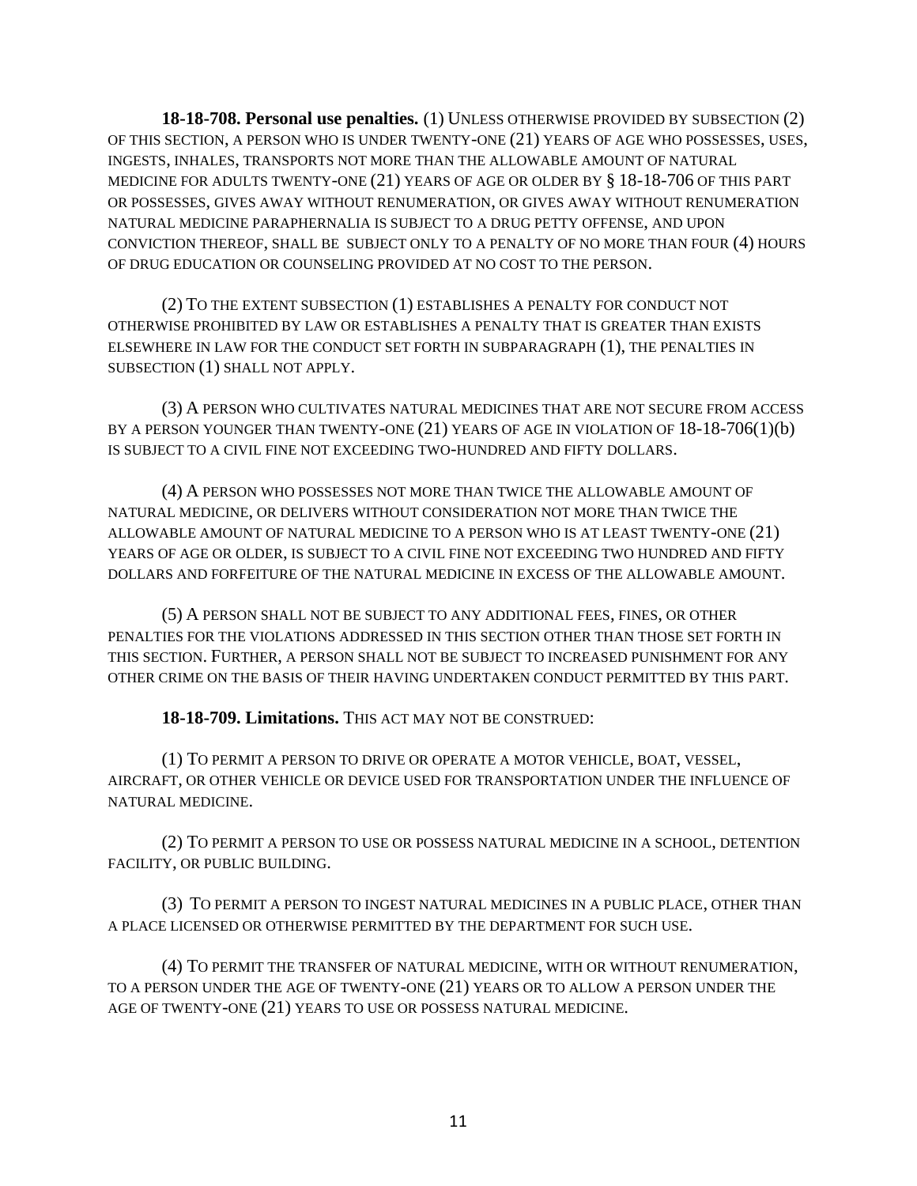**18-18-708. Personal use penalties.** (1) UNLESS OTHERWISE PROVIDED BY SUBSECTION (2) OF THIS SECTION, A PERSON WHO IS UNDER TWENTY-ONE (21) YEARS OF AGE WHO POSSESSES, USES, INGESTS, INHALES, TRANSPORTS NOT MORE THAN THE ALLOWABLE AMOUNT OF NATURAL MEDICINE FOR ADULTS TWENTY-ONE (21) YEARS OF AGE OR OLDER BY § 18-18-706 OF THIS PART OR POSSESSES, GIVES AWAY WITHOUT RENUMERATION, OR GIVES AWAY WITHOUT RENUMERATION NATURAL MEDICINE PARAPHERNALIA IS SUBJECT TO A DRUG PETTY OFFENSE, AND UPON CONVICTION THEREOF, SHALL BE SUBJECT ONLY TO A PENALTY OF NO MORE THAN FOUR (4) HOURS OF DRUG EDUCATION OR COUNSELING PROVIDED AT NO COST TO THE PERSON.

(2) TO THE EXTENT SUBSECTION (1) ESTABLISHES A PENALTY FOR CONDUCT NOT OTHERWISE PROHIBITED BY LAW OR ESTABLISHES A PENALTY THAT IS GREATER THAN EXISTS ELSEWHERE IN LAW FOR THE CONDUCT SET FORTH IN SUBPARAGRAPH (1), THE PENALTIES IN SUBSECTION (1) SHALL NOT APPLY.

(3) A PERSON WHO CULTIVATES NATURAL MEDICINES THAT ARE NOT SECURE FROM ACCESS BY A PERSON YOUNGER THAN TWENTY-ONE (21) YEARS OF AGE IN VIOLATION OF 18-18-706(1)(b) IS SUBJECT TO A CIVIL FINE NOT EXCEEDING TWO-HUNDRED AND FIFTY DOLLARS.

(4) A PERSON WHO POSSESSES NOT MORE THAN TWICE THE ALLOWABLE AMOUNT OF NATURAL MEDICINE, OR DELIVERS WITHOUT CONSIDERATION NOT MORE THAN TWICE THE ALLOWABLE AMOUNT OF NATURAL MEDICINE TO A PERSON WHO IS AT LEAST TWENTY-ONE (21) YEARS OF AGE OR OLDER, IS SUBJECT TO A CIVIL FINE NOT EXCEEDING TWO HUNDRED AND FIFTY DOLLARS AND FORFEITURE OF THE NATURAL MEDICINE IN EXCESS OF THE ALLOWABLE AMOUNT.

(5) A PERSON SHALL NOT BE SUBJECT TO ANY ADDITIONAL FEES, FINES, OR OTHER PENALTIES FOR THE VIOLATIONS ADDRESSED IN THIS SECTION OTHER THAN THOSE SET FORTH IN THIS SECTION. FURTHER, A PERSON SHALL NOT BE SUBJECT TO INCREASED PUNISHMENT FOR ANY OTHER CRIME ON THE BASIS OF THEIR HAVING UNDERTAKEN CONDUCT PERMITTED BY THIS PART.

**18-18-709. Limitations.** THIS ACT MAY NOT BE CONSTRUED:

(1) TO PERMIT A PERSON TO DRIVE OR OPERATE A MOTOR VEHICLE, BOAT, VESSEL, AIRCRAFT, OR OTHER VEHICLE OR DEVICE USED FOR TRANSPORTATION UNDER THE INFLUENCE OF NATURAL MEDICINE.

(2) TO PERMIT A PERSON TO USE OR POSSESS NATURAL MEDICINE IN A SCHOOL, DETENTION FACILITY, OR PUBLIC BUILDING.

(3) TO PERMIT A PERSON TO INGEST NATURAL MEDICINES IN A PUBLIC PLACE, OTHER THAN A PLACE LICENSED OR OTHERWISE PERMITTED BY THE DEPARTMENT FOR SUCH USE.

(4) TO PERMIT THE TRANSFER OF NATURAL MEDICINE, WITH OR WITHOUT RENUMERATION, TO A PERSON UNDER THE AGE OF TWENTY-ONE (21) YEARS OR TO ALLOW A PERSON UNDER THE AGE OF TWENTY-ONE (21) YEARS TO USE OR POSSESS NATURAL MEDICINE.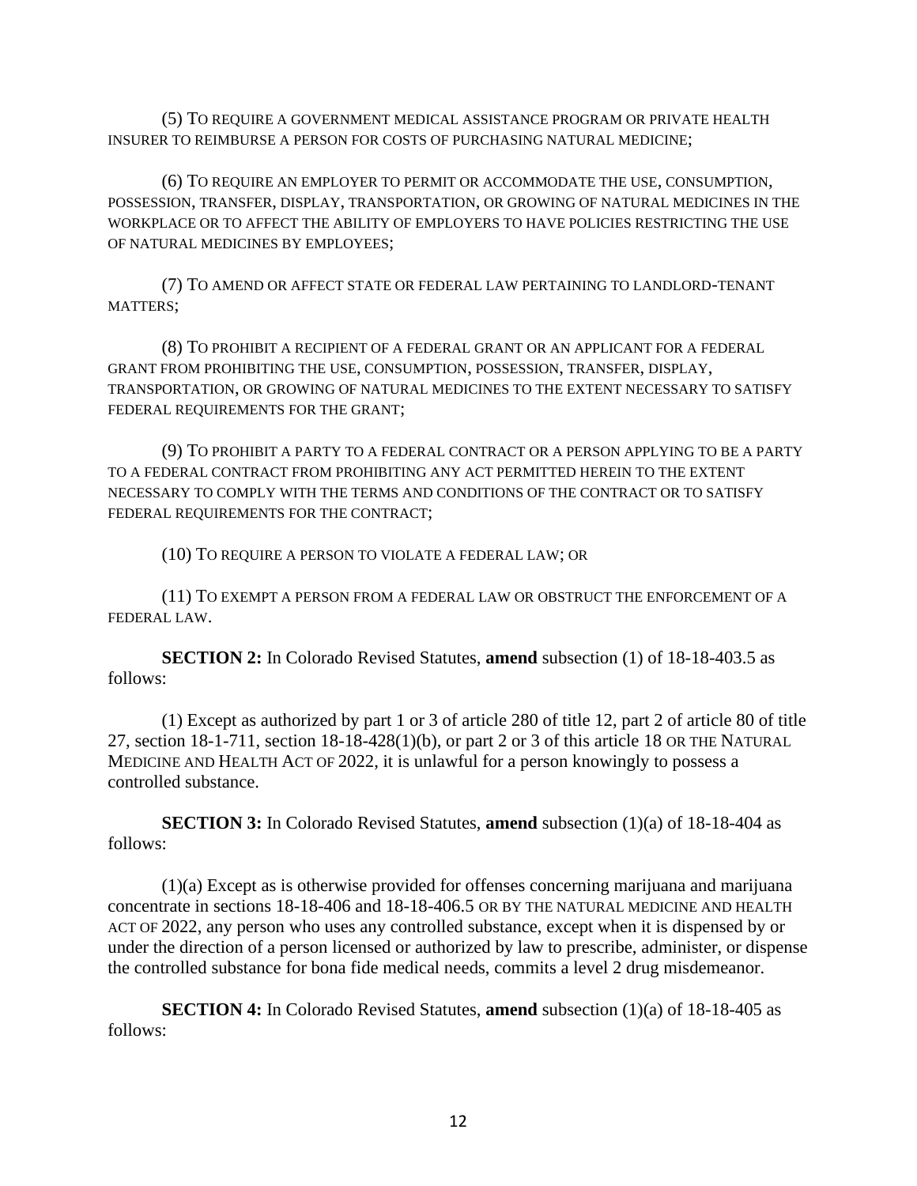(5) TO REQUIRE A GOVERNMENT MEDICAL ASSISTANCE PROGRAM OR PRIVATE HEALTH INSURER TO REIMBURSE A PERSON FOR COSTS OF PURCHASING NATURAL MEDICINE;

(6) TO REQUIRE AN EMPLOYER TO PERMIT OR ACCOMMODATE THE USE, CONSUMPTION, POSSESSION, TRANSFER, DISPLAY, TRANSPORTATION, OR GROWING OF NATURAL MEDICINES IN THE WORKPLACE OR TO AFFECT THE ABILITY OF EMPLOYERS TO HAVE POLICIES RESTRICTING THE USE OF NATURAL MEDICINES BY EMPLOYEES;

(7) TO AMEND OR AFFECT STATE OR FEDERAL LAW PERTAINING TO LANDLORD-TENANT MATTERS;

(8) TO PROHIBIT A RECIPIENT OF A FEDERAL GRANT OR AN APPLICANT FOR A FEDERAL GRANT FROM PROHIBITING THE USE, CONSUMPTION, POSSESSION, TRANSFER, DISPLAY, TRANSPORTATION, OR GROWING OF NATURAL MEDICINES TO THE EXTENT NECESSARY TO SATISFY FEDERAL REQUIREMENTS FOR THE GRANT;

(9) TO PROHIBIT A PARTY TO A FEDERAL CONTRACT OR A PERSON APPLYING TO BE A PARTY TO A FEDERAL CONTRACT FROM PROHIBITING ANY ACT PERMITTED HEREIN TO THE EXTENT NECESSARY TO COMPLY WITH THE TERMS AND CONDITIONS OF THE CONTRACT OR TO SATISFY FEDERAL REQUIREMENTS FOR THE CONTRACT;

(10) TO REQUIRE A PERSON TO VIOLATE A FEDERAL LAW; OR

(11) TO EXEMPT A PERSON FROM A FEDERAL LAW OR OBSTRUCT THE ENFORCEMENT OF A FEDERAL LAW.

**SECTION 2:** In Colorado Revised Statutes, **amend** subsection (1) of 18-18-403.5 as follows:

(1) Except as authorized by part 1 or 3 of article 280 of title 12, part 2 of article 80 of title 27, section 18-1-711, [section 18-18-428\(1\)\(b\),](https://1.next.westlaw.com/Link/Document/FullText?findType=L&pubNum=1000517&cite=COSTS18-18-428&originatingDoc=NDE5BF6A05A6F11EA99CEE2EE8F0EE862&refType=SP&originationContext=document&transitionType=DocumentItem&ppcid=703f958d3d9247da9d8ff619e2da1975&contextData=(sc.Category)#co_pp_a20b0000590b0) or part 2 or 3 of this article 18 OR THE NATURAL MEDICINE AND HEALTH ACT OF 2022, it is unlawful for a person knowingly to possess a controlled substance.

**SECTION 3:** In Colorado Revised Statutes, **amend** subsection (1)(a) of 18-18-404 as follows:

(1)(a) Except as is otherwise provided for offenses concerning marijuana and marijuana concentrate in [sections 18-18-406](https://1.next.westlaw.com/Link/Document/FullText?findType=L&pubNum=1000517&cite=COSTS18-18-406&originatingDoc=NBFC40F200C2411E3BF1D9127FA30FE9C&refType=LQ&originationContext=document&transitionType=DocumentItem&ppcid=07335cad070e4c3db68006be97732be9&contextData=(sc.Category)) and [18-18-406.5](https://1.next.westlaw.com/Link/Document/FullText?findType=L&pubNum=1000517&cite=COSTS18-18-406.5&originatingDoc=NBFC40F200C2411E3BF1D9127FA30FE9C&refType=LQ&originationContext=document&transitionType=DocumentItem&ppcid=07335cad070e4c3db68006be97732be9&contextData=(sc.Category)) OR BY THE NATURAL MEDICINE AND HEALTH ACT OF 2022, any person who uses any controlled substance, except when it is dispensed by or under the direction of a person licensed or authorized by law to prescribe, administer, or dispense the controlled substance for bona fide medical needs, commits a level 2 drug misdemeanor.

**SECTION 4:** In Colorado Revised Statutes, **amend** subsection (1)(a) of 18-18-405 as follows: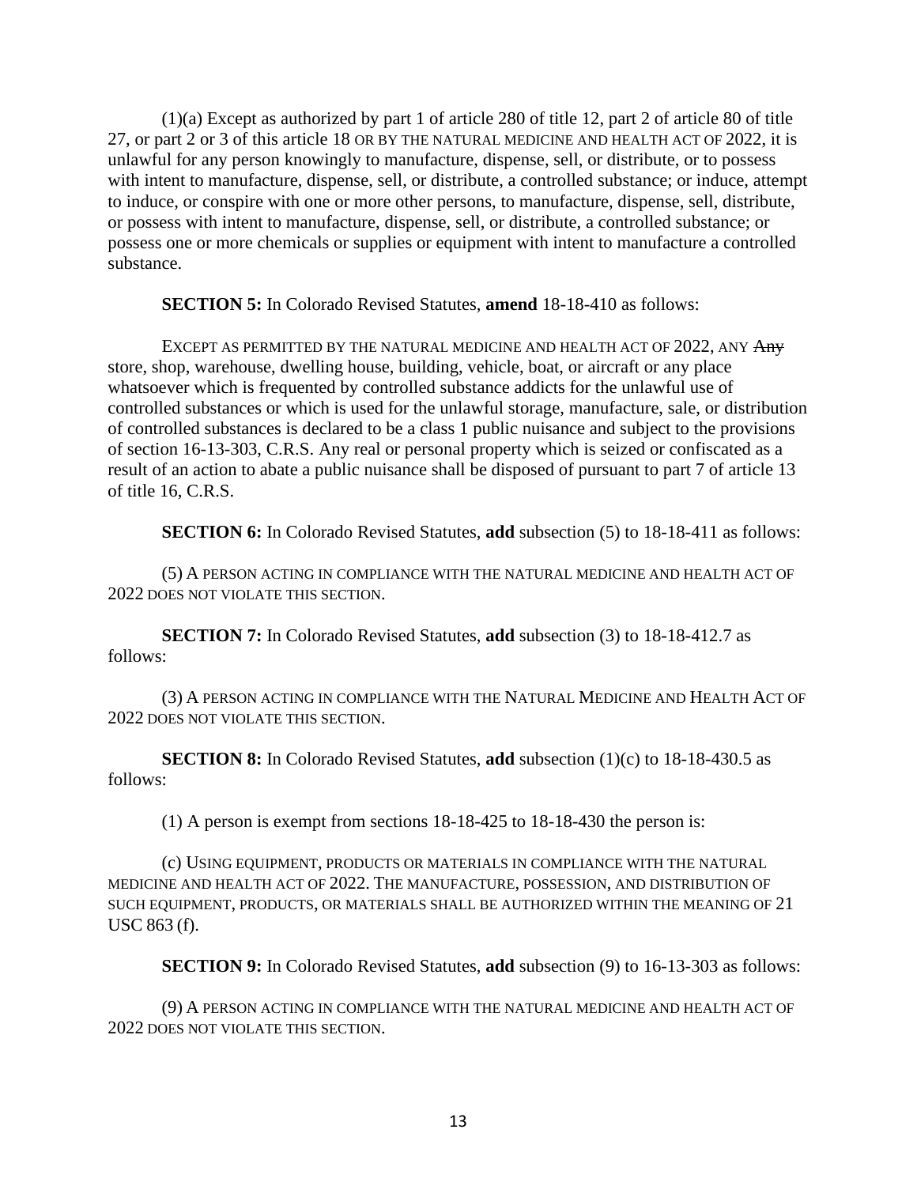(1)(a) Except as authorized by part 1 of article 280 of title 12, part 2 of article 80 of title 27, or part 2 or 3 of this article 18 OR BY THE NATURAL MEDICINE AND HEALTH ACT OF 2022, it is unlawful for any person knowingly to manufacture, dispense, sell, or distribute, or to possess with intent to manufacture, dispense, sell, or distribute, a controlled substance; or induce, attempt to induce, or conspire with one or more other persons, to manufacture, dispense, sell, distribute, or possess with intent to manufacture, dispense, sell, or distribute, a controlled substance; or possess one or more chemicals or supplies or equipment with intent to manufacture a controlled substance.

**SECTION 5:** In Colorado Revised Statutes, **amend** 18-18-410 as follows:

EXCEPT AS PERMITTED BY THE NATURAL MEDICINE AND HEALTH ACT OF 2022, ANY Any store, shop, warehouse, dwelling house, building, vehicle, boat, or aircraft or any place whatsoever which is frequented by controlled substance addicts for the unlawful use of controlled substances or which is used for the unlawful storage, manufacture, sale, or distribution of controlled substances is declared to be a class 1 public nuisance and subject to the provisions of [section 16-13-303, C.R.S.](https://1.next.westlaw.com/Link/Document/FullText?findType=L&pubNum=1000517&cite=COSTS16-13-303&originatingDoc=N5C22EE10DBDD11DB8D12B2375E34596F&refType=LQ&originationContext=document&transitionType=DocumentItem&ppcid=40da65f41146492ea9a1e386ce3a150f&contextData=(sc.Category)) Any real or personal property which is seized or confiscated as a result of an action to abate a public nuisance shall be disposed of pursuant to part 7 of article 13 of title 16, C.R.S.

**SECTION 6:** In Colorado Revised Statutes, **add** subsection (5) to 18-18-411 as follows:

(5) A PERSON ACTING IN COMPLIANCE WITH THE NATURAL MEDICINE AND HEALTH ACT OF 2022 DOES NOT VIOLATE THIS SECTION.

**SECTION 7:** In Colorado Revised Statutes, **add** subsection (3) to 18-18-412.7 as follows:

(3) A PERSON ACTING IN COMPLIANCE WITH THE NATURAL MEDICINE AND HEALTH ACT OF 2022 DOES NOT VIOLATE THIS SECTION.

**SECTION 8:** In Colorado Revised Statutes, **add** subsection (1)(c) to 18-18-430.5 as follows:

(1) A person is exempt from sections 18-18-425 to 18-18-430 the person is:

(c) USING EQUIPMENT, PRODUCTS OR MATERIALS IN COMPLIANCE WITH THE NATURAL MEDICINE AND HEALTH ACT OF 2022. THE MANUFACTURE, POSSESSION, AND DISTRIBUTION OF SUCH EQUIPMENT, PRODUCTS, OR MATERIALS SHALL BE AUTHORIZED WITHIN THE MEANING OF 21 USC 863 (f).

**SECTION 9:** In Colorado Revised Statutes, **add** subsection (9) to 16-13-303 as follows:

(9) A PERSON ACTING IN COMPLIANCE WITH THE NATURAL MEDICINE AND HEALTH ACT OF 2022 DOES NOT VIOLATE THIS SECTION.